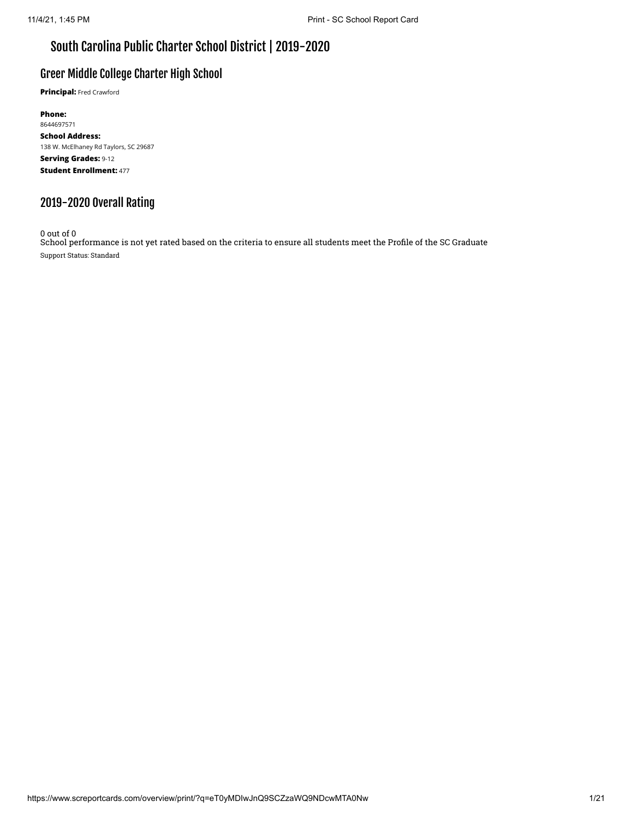### South Carolina Public Charter School District | 2019-2020

### Greer Middle College Charter High School

**Principal:** Fred Crawford

**Phone:** 8644697571 **School Address:** 138 W. McElhaney Rd Taylors, SC 29687 **Serving Grades:** 9-12 **Student Enrollment:** 477

### 2019-2020 Overall Rating

0 out of 0

School performance is not yet rated based on the criteria to ensure all students meet the Profile of the SC Graduate Support Status: Standard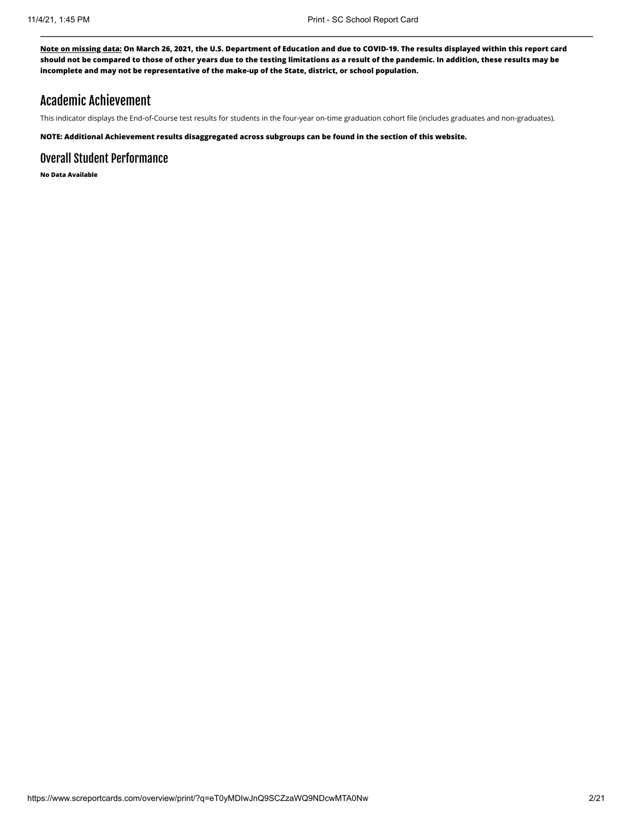### Academic Achievement

This indicator displays the End-of-Course test results for students in the four-year on-time graduation cohort file (includes graduates and non-graduates).

**NOTE: Additional Achievement results disaggregated across subgroups can be found in the section of this website.**

### Overall Student Performance

**No Data Available**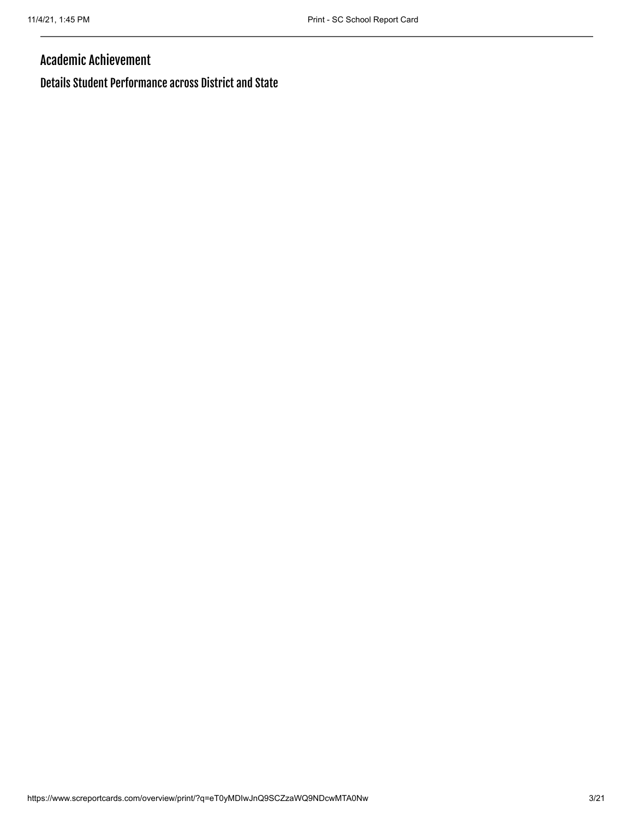### Academic Achievement

Details Student Performance across District and State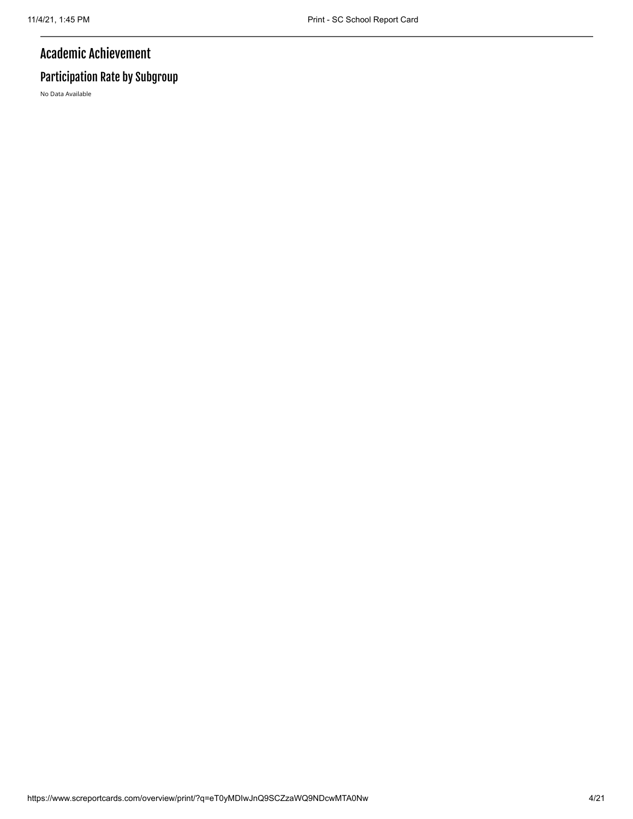## Academic Achievement

# Participation Rate by Subgroup

No Data Available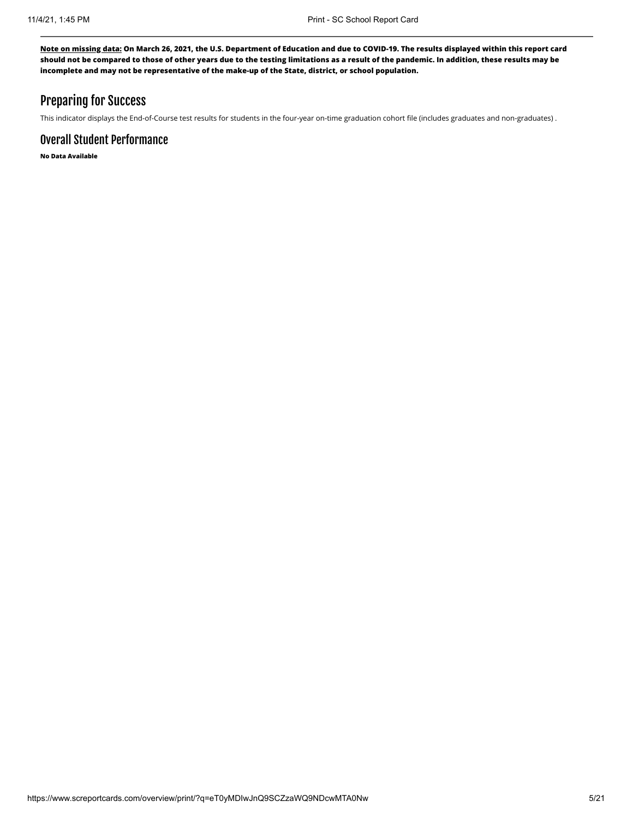### Preparing for Success

This indicator displays the End-of-Course test results for students in the four-year on-time graduation cohort file (includes graduates and non-graduates) .

### Overall Student Performance

**No Data Available**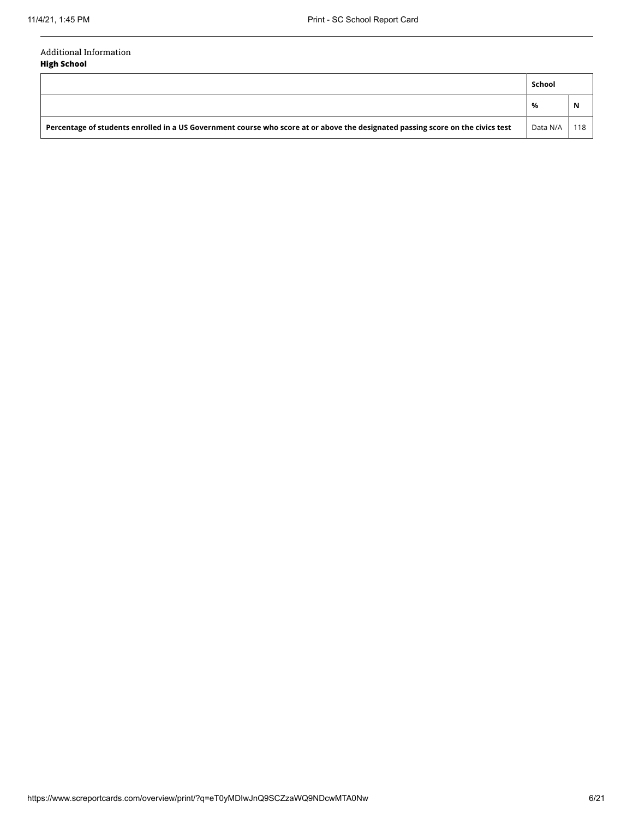#### Additional Information **High School**

|                                                                                                                                 | School   |     |
|---------------------------------------------------------------------------------------------------------------------------------|----------|-----|
|                                                                                                                                 | %        | N   |
| Percentage of students enrolled in a US Government course who score at or above the designated passing score on the civics test | Data N/A | 118 |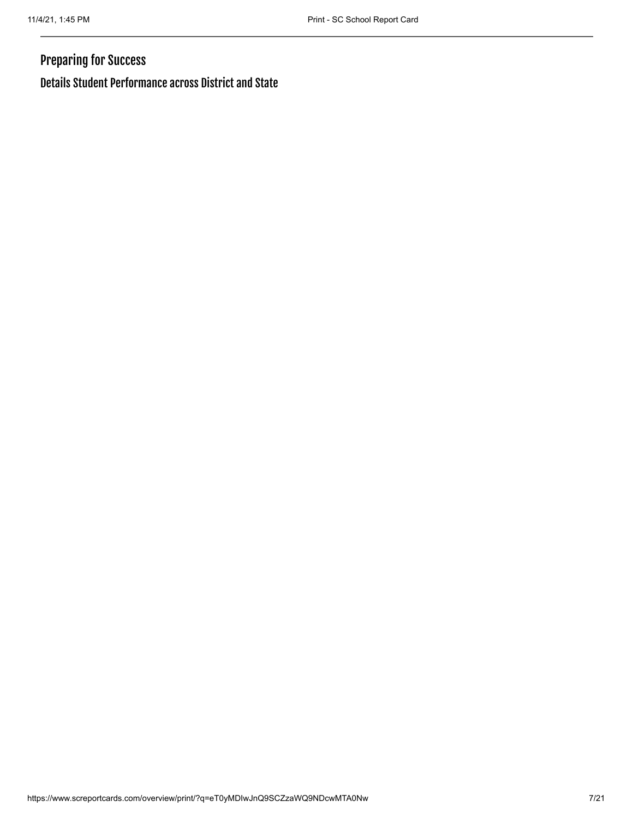# Preparing for Success

Details Student Performance across District and State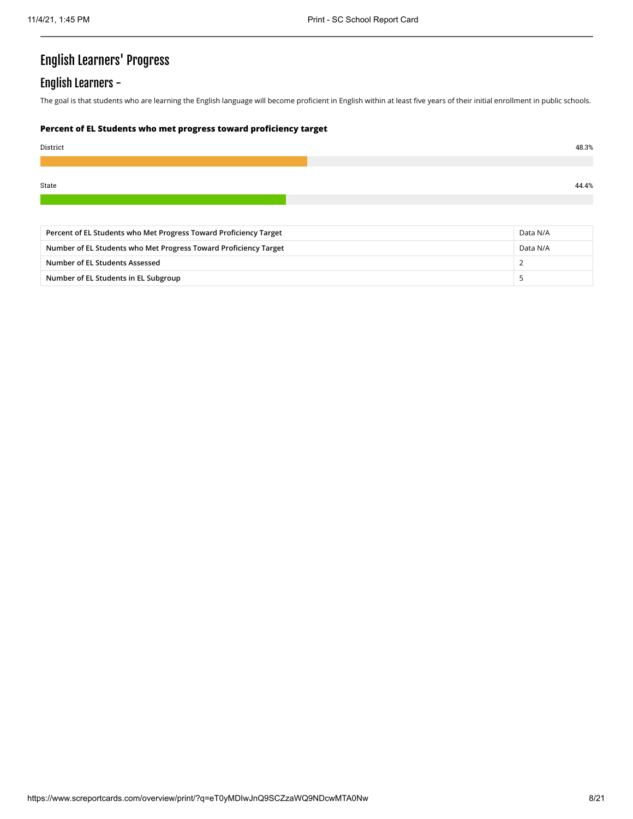# English Learners' Progress

### English Learners -

The goal is that students who are learning the English language will become proficient in English within at least five years of their initial enrollment in public schools.

#### **Percent of EL Students who met progress toward proficiency target**

| District | 48.3% |
|----------|-------|
|          |       |
| State    | 44.4% |
|          |       |

| Percent of EL Students who Met Progress Toward Proficiency Target |          |  |  |
|-------------------------------------------------------------------|----------|--|--|
| Number of EL Students who Met Progress Toward Proficiency Target  | Data N/A |  |  |
| Number of EL Students Assessed                                    |          |  |  |
| Number of EL Students in EL Subgroup                              |          |  |  |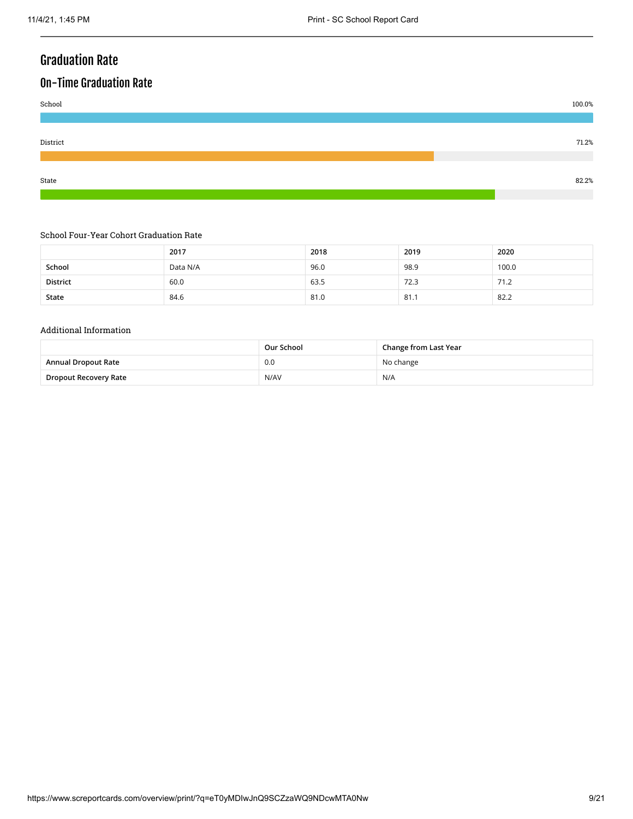# Graduation Rate

# On-Time Graduation Rate



#### School Four-Year Cohort Graduation Rate

|          | 2017     | 2018 | 2019 | 2020  |
|----------|----------|------|------|-------|
| School   | Data N/A | 96.0 | 98.9 | 100.0 |
| District | 60.0     | 63.5 | 72.3 | 71.2  |
| State    | 84.6     | 81.0 | 81.1 | 82.2  |

#### Additional Information

|                       | Our School | Change from Last Year |
|-----------------------|------------|-----------------------|
| Annual Dropout Rate   | 0.0        | No change             |
| Dropout Recovery Rate | N/AV       | N/A                   |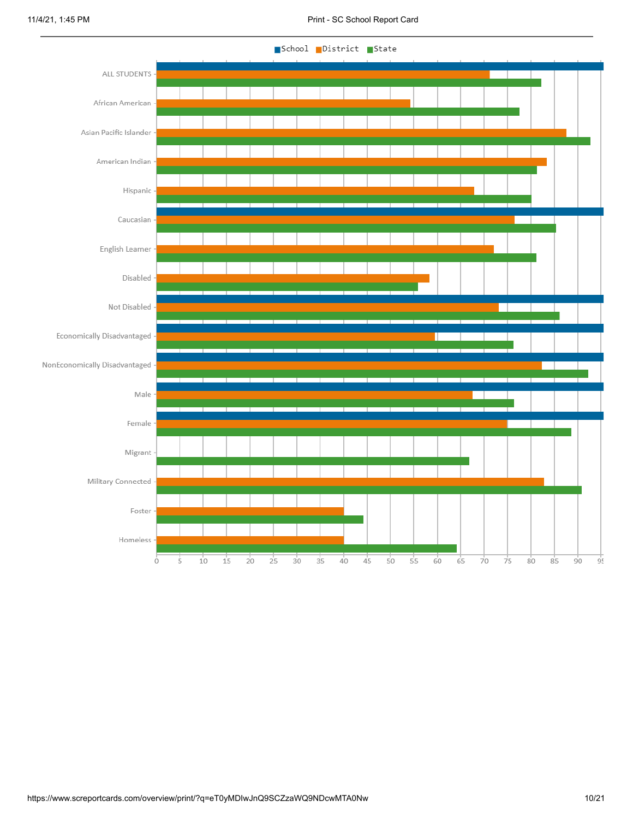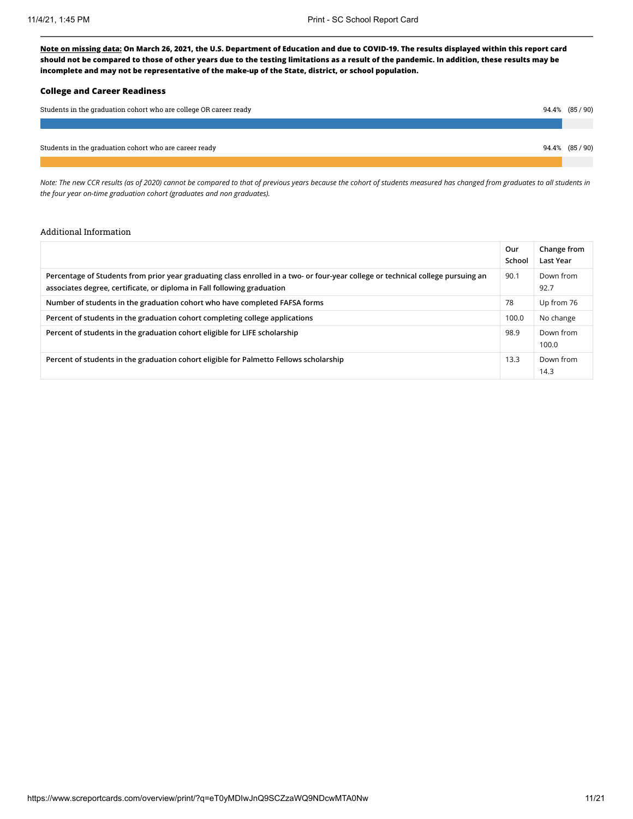#### **College and Career Readiness**

| Students in the graduation cohort who are college OR career ready | 94.4% (85/90) |
|-------------------------------------------------------------------|---------------|
|                                                                   |               |
| Students in the graduation cohort who are career ready            | 94.4% (85/90) |
|                                                                   |               |

*Note: The new CCR results (as of 2020) cannot be compared to that of previous years because the cohort of students measured has changed from graduates to all students in the four year on-time graduation cohort (graduates and non graduates).*

#### Additional Information

|                                                                                                                                                                                                             | Our<br>School     | Change from<br>Last Year |
|-------------------------------------------------------------------------------------------------------------------------------------------------------------------------------------------------------------|-------------------|--------------------------|
| Percentage of Students from prior year graduating class enrolled in a two- or four-year college or technical college pursuing an<br>associates degree, certificate, or diploma in Fall following graduation | 90.1              | Down from<br>92.7        |
| Number of students in the graduation cohort who have completed FAFSA forms                                                                                                                                  | 78                | Up from 76               |
| Percent of students in the graduation cohort completing college applications                                                                                                                                | 100.0             | No change                |
| Percent of students in the graduation cohort eligible for LIFE scholarship                                                                                                                                  | 98.9              | Down from<br>100.0       |
| Percent of students in the graduation cohort eligible for Palmetto Fellows scholarship                                                                                                                      | 13.3 <sub>1</sub> | Down from<br>14.3        |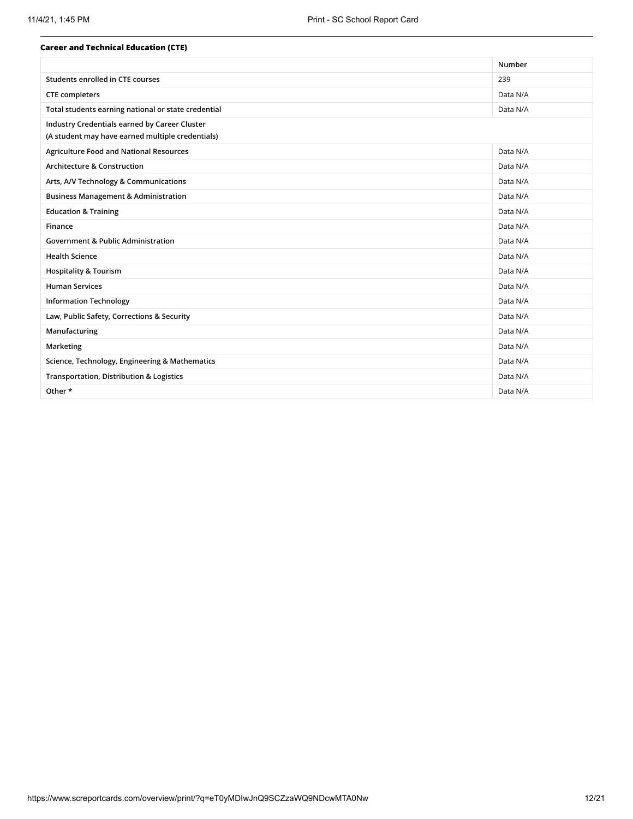| <b>Career and Technical Education (CTE)</b>         |          |
|-----------------------------------------------------|----------|
|                                                     | Number   |
| Students enrolled in CTE courses                    | 239      |
| <b>CTE</b> completers                               | Data N/A |
| Total students earning national or state credential | Data N/A |
| Industry Credentials earned by Career Cluster       |          |
| (A student may have earned multiple credentials)    |          |
| <b>Agriculture Food and National Resources</b>      | Data N/A |
| <b>Architecture &amp; Construction</b>              | Data N/A |
| Arts, A/V Technology & Communications               | Data N/A |
| <b>Business Management &amp; Administration</b>     | Data N/A |
| <b>Education &amp; Training</b>                     | Data N/A |
| Finance                                             | Data N/A |
| <b>Government &amp; Public Administration</b>       | Data N/A |
| <b>Health Science</b>                               | Data N/A |
| <b>Hospitality &amp; Tourism</b>                    | Data N/A |
| <b>Human Services</b>                               | Data N/A |
| <b>Information Technology</b>                       | Data N/A |
| Law, Public Safety, Corrections & Security          | Data N/A |
| Manufacturing                                       | Data N/A |
| Marketing                                           | Data N/A |
| Science, Technology, Engineering & Mathematics      | Data N/A |
| <b>Transportation, Distribution &amp; Logistics</b> | Data N/A |
| Other *                                             | Data N/A |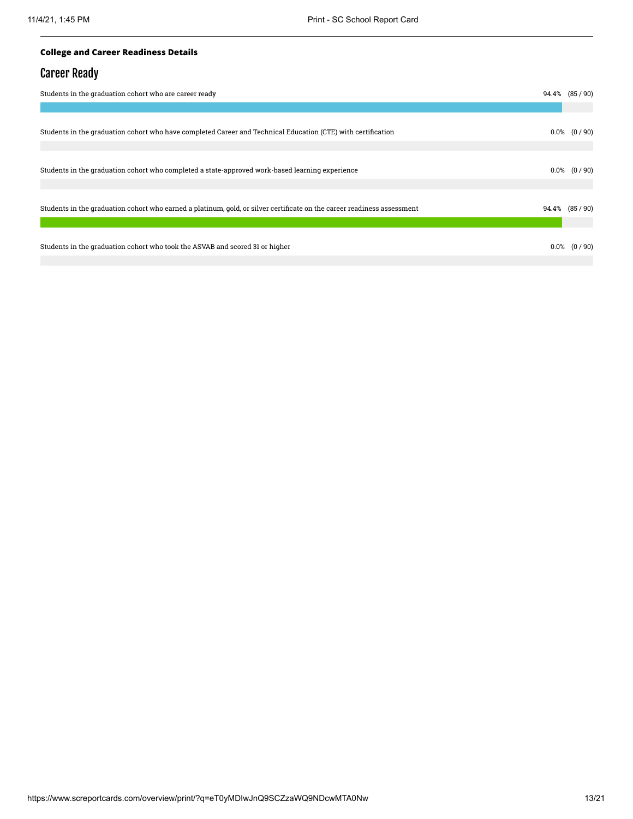#### **College and Career Readiness Details**

### Career Ready

| Students in the graduation cohort who are career ready<br>$94.4\%$ $(85/90)$                                            |  |                  |  |
|-------------------------------------------------------------------------------------------------------------------------|--|------------------|--|
|                                                                                                                         |  |                  |  |
| Students in the graduation cohort who have completed Career and Technical Education (CTE) with certification            |  | $0.0\%$ $(0/90)$ |  |
| Students in the graduation cohort who completed a state-approved work-based learning experience                         |  | $0.0\%$ $(0/90)$ |  |
| Students in the graduation cohort who earned a platinum, gold, or silver certificate on the career readiness assessment |  | 94.4% (85/90)    |  |
| Students in the graduation cohort who took the ASVAB and scored 31 or higher                                            |  | $0.0\%$ $(0/90)$ |  |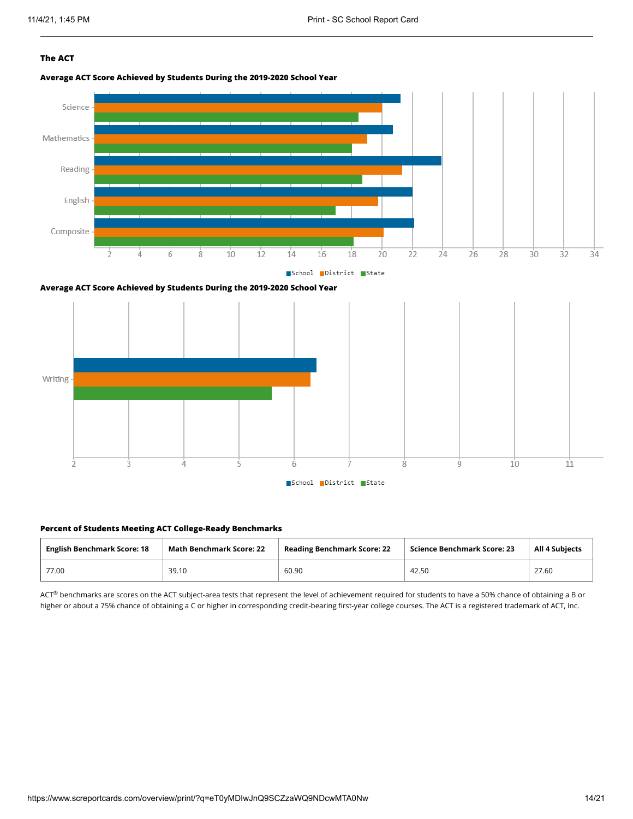#### **The ACT**

**Average ACT Score Achieved by Students During the 2019-2020 School Year**







#### **Percent of Students Meeting ACT College-Ready Benchmarks**

| <b>English Benchmark Score: 18</b> | <b>Math Benchmark Score: 22</b> | <b>Reading Benchmark Score: 22</b> | Science Benchmark Score: 23 | <b>All 4 Subjects</b> |
|------------------------------------|---------------------------------|------------------------------------|-----------------------------|-----------------------|
| 77.00                              | 39.10                           | 60.90                              | 42.50                       | 27.60                 |

 $ACT^{\circledast}$  benchmarks are scores on the ACT subject-area tests that represent the level of achievement required for students to have a 50% chance of obtaining a B or higher or about a 75% chance of obtaining a C or higher in corresponding credit-bearing first-year college courses. The ACT is a registered trademark of ACT, Inc.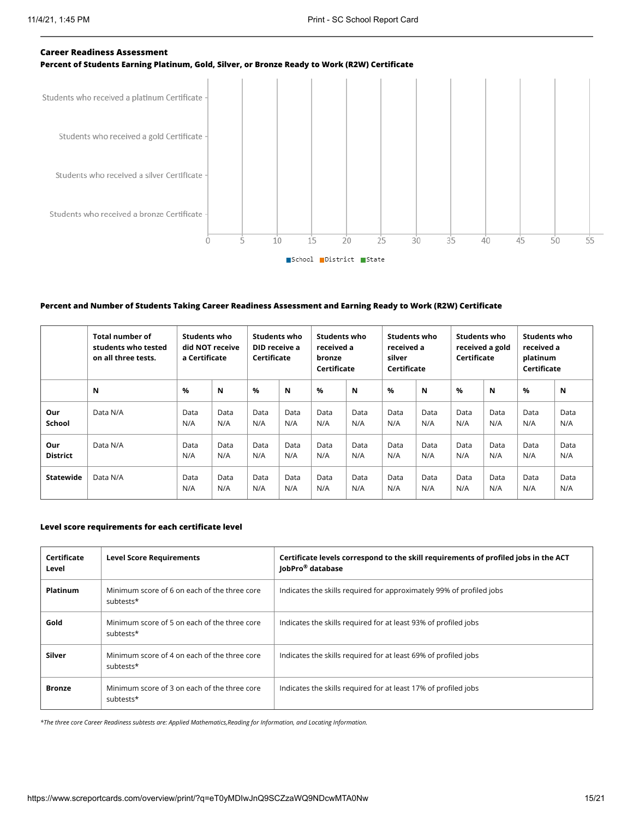# **Career Readiness Assessment Percent of Students Earning Platinum, Gold, Silver, or Bronze Ready to Work (R2W) Certificate** Students who received a platinum Certificate Students who received a gold Certificate Students who received a silver Certificate Students who received a bronze Certificate

School District State

 $20$ 

 $25$ 

 $30^{\circ}$ 

 $3<sub>5</sub>$ 

40

45

 $50$ 

 $55$ 

 $15$ 

#### **Percent and Number of Students Taking Career Readiness Assessment and Earning Ready to Work (R2W) Certificate**

 $10$ 

Ò

Ś.

|                        | <b>Total number of</b><br>students who tested<br>on all three tests. | Students who<br>did NOT receive<br>a Certificate |             | Students who<br>DID receive a<br>Certificate |             | Students who<br>received a<br>bronze<br>Certificate |             | <b>Students who</b><br>received a<br>silver<br>Certificate |             | Students who<br>Certificate | received a gold | Students who<br>received a<br>platinum<br>Certificate |             |
|------------------------|----------------------------------------------------------------------|--------------------------------------------------|-------------|----------------------------------------------|-------------|-----------------------------------------------------|-------------|------------------------------------------------------------|-------------|-----------------------------|-----------------|-------------------------------------------------------|-------------|
|                        | N                                                                    | %                                                | N           | $\%$                                         | N           | $\%$                                                | N           | $\%$                                                       | N           | $\%$                        | N               | %                                                     | N           |
| Our<br>School          | Data N/A                                                             | Data<br>N/A                                      | Data<br>N/A | Data<br>N/A                                  | Data<br>N/A | Data<br>N/A                                         | Data<br>N/A | Data<br>N/A                                                | Data<br>N/A | Data<br>N/A                 | Data<br>N/A     | Data<br>N/A                                           | Data<br>N/A |
| Our<br><b>District</b> | Data N/A                                                             | Data<br>N/A                                      | Data<br>N/A | Data<br>N/A                                  | Data<br>N/A | Data<br>N/A                                         | Data<br>N/A | Data<br>N/A                                                | Data<br>N/A | Data<br>N/A                 | Data<br>N/A     | Data<br>N/A                                           | Data<br>N/A |
| <b>Statewide</b>       | Data N/A                                                             | Data<br>N/A                                      | Data<br>N/A | Data<br>N/A                                  | Data<br>N/A | Data<br>N/A                                         | Data<br>N/A | Data<br>N/A                                                | Data<br>N/A | Data<br>N/A                 | Data<br>N/A     | Data<br>N/A                                           | Data<br>N/A |

#### **Level score requirements for each certificate level**

| Certificate<br>Level | <b>Level Score Requirements</b>                           | Certificate levels correspond to the skill requirements of profiled jobs in the ACT<br>JobPro <sup>®</sup> database |
|----------------------|-----------------------------------------------------------|---------------------------------------------------------------------------------------------------------------------|
| Platinum             | Minimum score of 6 on each of the three core<br>subtests* | Indicates the skills required for approximately 99% of profiled jobs                                                |
| Gold                 | Minimum score of 5 on each of the three core<br>subtests* | Indicates the skills required for at least 93% of profiled jobs                                                     |
| Silver               | Minimum score of 4 on each of the three core<br>subtests* | Indicates the skills required for at least 69% of profiled jobs                                                     |
| <b>Bronze</b>        | Minimum score of 3 on each of the three core<br>subtests* | Indicates the skills required for at least 17% of profiled jobs                                                     |

*\*The three core Career Readiness subtests are: Applied Mathematics,Reading for Information, and Locating Information.*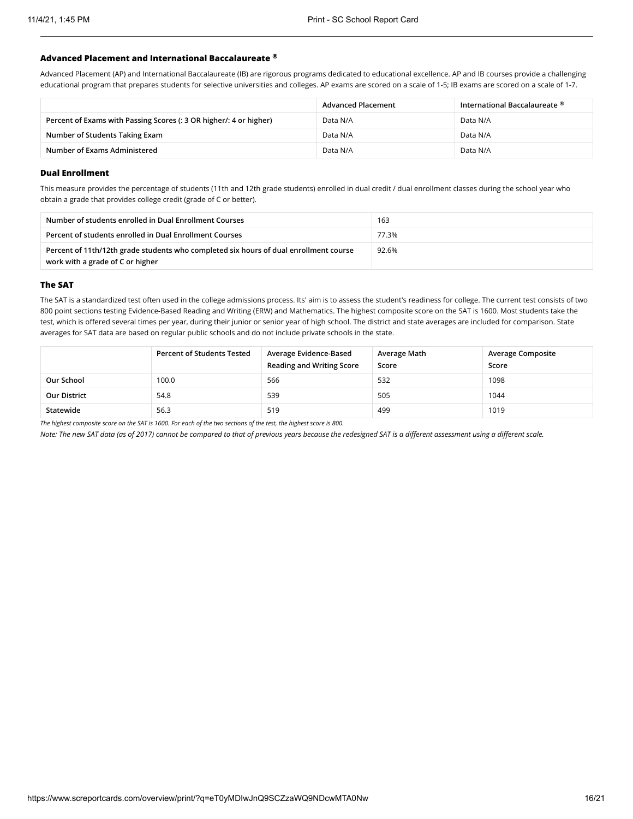#### **Advanced Placement and International Baccalaureate ®**

Advanced Placement (AP) and International Baccalaureate (IB) are rigorous programs dedicated to educational excellence. AP and IB courses provide a challenging educational program that prepares students for selective universities and colleges. AP exams are scored on a scale of 1-5; IB exams are scored on a scale of 1-7.

|                                                                    | <b>Advanced Placement</b> | International Baccalaureate ® |
|--------------------------------------------------------------------|---------------------------|-------------------------------|
| Percent of Exams with Passing Scores (: 3 OR higher/: 4 or higher) | Data N/A                  | Data N/A                      |
| Number of Students Taking Exam                                     | Data N/A                  | Data N/A                      |
| Number of Exams Administered                                       | Data N/A                  | Data N/A                      |

#### **Dual Enrollment**

This measure provides the percentage of students (11th and 12th grade students) enrolled in dual credit / dual enrollment classes during the school year who obtain a grade that provides college credit (grade of C or better).

| Number of students enrolled in Dual Enrollment Courses                                                                    | 163   |
|---------------------------------------------------------------------------------------------------------------------------|-------|
| Percent of students enrolled in Dual Enrollment Courses                                                                   | 77.3% |
| Percent of 11th/12th grade students who completed six hours of dual enrollment course<br>work with a grade of C or higher | 92.6% |

#### **The SAT**

The SAT is a standardized test often used in the college admissions process. Its' aim is to assess the student's readiness for college. The current test consists of two 800 point sections testing Evidence-Based Reading and Writing (ERW) and Mathematics. The highest composite score on the SAT is 1600. Most students take the test, which is offered several times per year, during their junior or senior year of high school. The district and state averages are included for comparison. State averages for SAT data are based on regular public schools and do not include private schools in the state.

|                     | <b>Percent of Students Tested</b> | Average Evidence-Based<br><b>Reading and Writing Score</b> | Average Math<br>Score | <b>Average Composite</b><br>Score |
|---------------------|-----------------------------------|------------------------------------------------------------|-----------------------|-----------------------------------|
| Our School          | 100.0                             | 566                                                        | 532                   | 1098                              |
| <b>Our District</b> | 54.8                              | 539                                                        | 505                   | 1044                              |
| Statewide           | 56.3                              | 519                                                        | 499                   | 1019                              |

*The highest composite score on the SAT is 1600. For each of the two sections of the test, the highest score is 800.*

*Note: The new SAT data (as of 2017) cannot be compared to that of previous years because the redesigned SAT is a different assessment using a different scale.*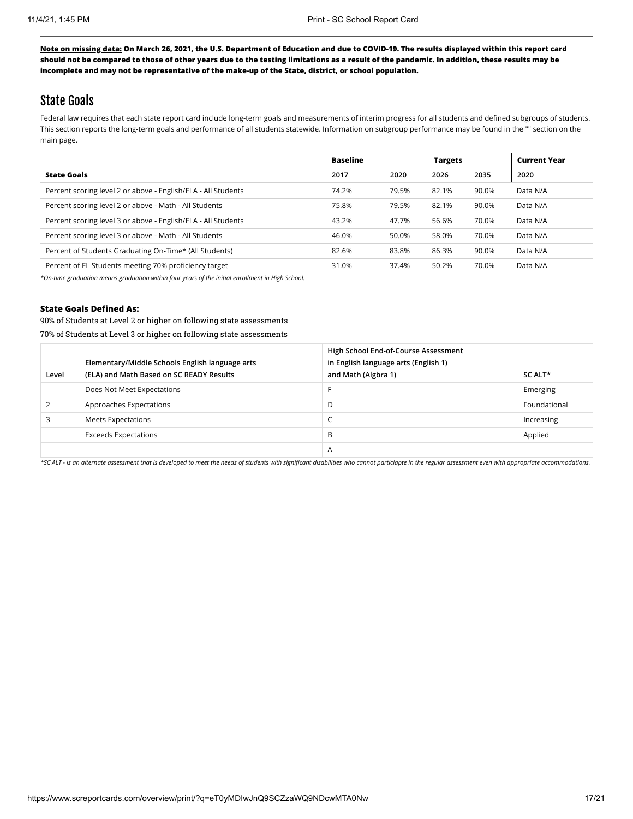### State Goals

Federal law requires that each state report card include long-term goals and measurements of interim progress for all students and defined subgroups of students. This section reports the long-term goals and performance of all students statewide. Information on subgroup performance may be found in the "" section on the main page.

|                                                               | <b>Baseline</b> |       | <b>Targets</b> |       | <b>Current Year</b> |
|---------------------------------------------------------------|-----------------|-------|----------------|-------|---------------------|
| <b>State Goals</b>                                            | 2017            | 2020  | 2026           | 2035  | 2020                |
| Percent scoring level 2 or above - English/ELA - All Students | 74.2%           | 79.5% | 82.1%          | 90.0% | Data N/A            |
| Percent scoring level 2 or above - Math - All Students        | 75.8%           | 79.5% | 82.1%          | 90.0% | Data N/A            |
| Percent scoring level 3 or above - English/ELA - All Students | 43.2%           | 47.7% | 56.6%          | 70.0% | Data N/A            |
| Percent scoring level 3 or above - Math - All Students        | 46.0%           | 50.0% | 58.0%          | 70.0% | Data N/A            |
| Percent of Students Graduating On-Time* (All Students)        | 82.6%           | 83.8% | 86.3%          | 90.0% | Data N/A            |
| Percent of EL Students meeting 70% proficiency target         | 31.0%           | 37.4% | 50.2%          | 70.0% | Data N/A            |

*\*On-time graduation means graduation within four years of the initial enrollment in High School.*

#### **State Goals Defined As:**

90% of Students at Level 2 or higher on following state assessments 70% of Students at Level 3 or higher on following state assessments

| Level | Elementary/Middle Schools English language arts<br>(ELA) and Math Based on SC READY Results | High School End-of-Course Assessment<br>in English language arts (English 1)<br>and Math (Algbra 1) | SC ALT*      |
|-------|---------------------------------------------------------------------------------------------|-----------------------------------------------------------------------------------------------------|--------------|
|       | Does Not Meet Expectations                                                                  |                                                                                                     | Emerging     |
|       | Approaches Expectations                                                                     | D                                                                                                   | Foundational |
|       | <b>Meets Expectations</b>                                                                   |                                                                                                     | Increasing   |
|       | <b>Exceeds Expectations</b>                                                                 | B                                                                                                   | Applied      |
|       |                                                                                             | A                                                                                                   |              |

*\*SC ALT - is an alternate assessment that is developed to meet the needs of students with significant disabilities who cannot particiapte in the regular assessment even with appropriate accommodations.*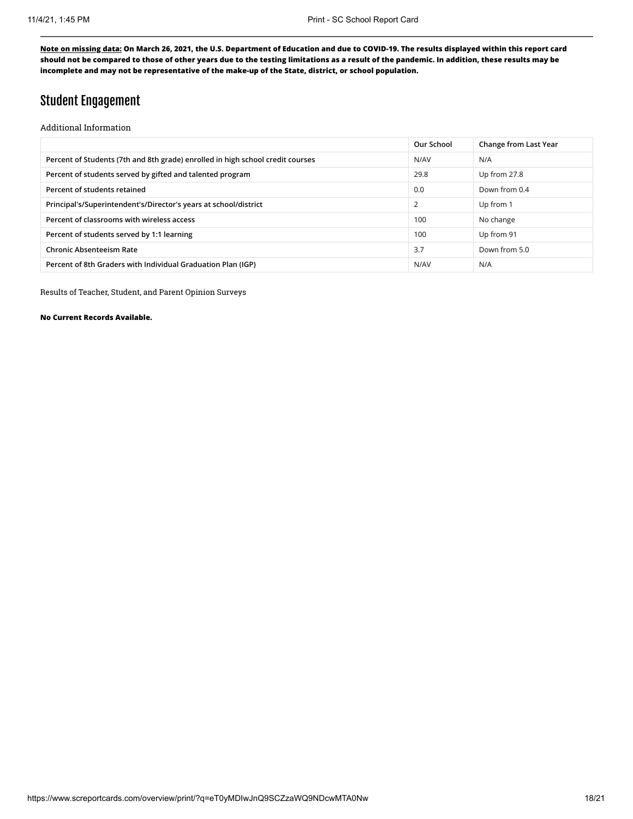### Student Engagement

Additional Information

|                                                                                | Our School | Change from Last Year |
|--------------------------------------------------------------------------------|------------|-----------------------|
| Percent of Students (7th and 8th grade) enrolled in high school credit courses | N/AV       | N/A                   |
| Percent of students served by gifted and talented program                      | 29.8       | Up from 27.8          |
| Percent of students retained                                                   | 0.0        | Down from 0.4         |
| Principal's/Superintendent's/Director's years at school/district               | 2          | Up from 1             |
| Percent of classrooms with wireless access                                     | 100        | No change             |
| Percent of students served by 1:1 learning                                     | 100        | Up from 91            |
| <b>Chronic Absenteeism Rate</b>                                                | 3.7        | Down from 5.0         |
| Percent of 8th Graders with Individual Graduation Plan (IGP)                   | N/AV       | N/A                   |
|                                                                                |            |                       |

Results of Teacher, Student, and Parent Opinion Surveys

**No Current Records Available.**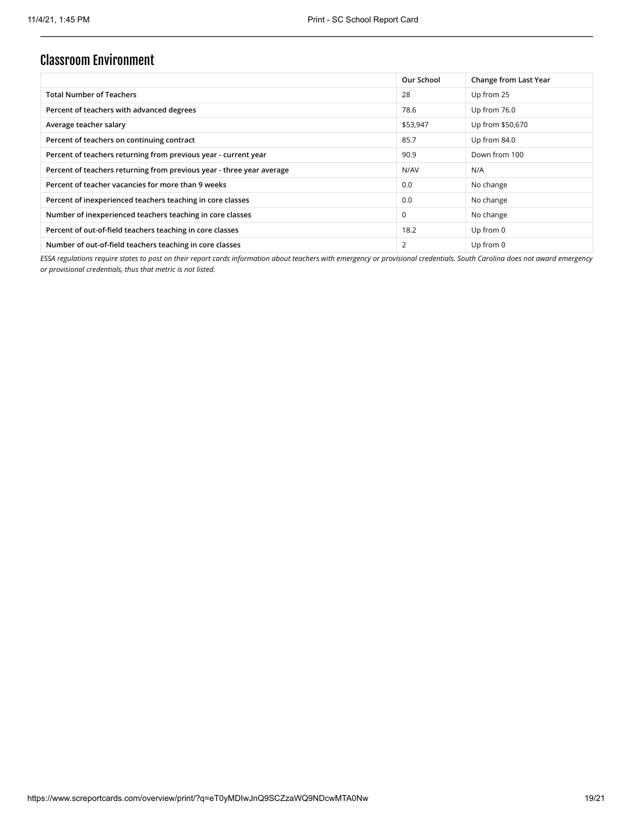### Classroom Environment

|                                                                       | Our School  | Change from Last Year |
|-----------------------------------------------------------------------|-------------|-----------------------|
| <b>Total Number of Teachers</b>                                       | 28          | Up from 25            |
| Percent of teachers with advanced degrees                             | 78.6        | Up from 76.0          |
| Average teacher salary                                                | \$53,947    | Up from \$50,670      |
| Percent of teachers on continuing contract                            | 85.7        | Up from 84.0          |
| Percent of teachers returning from previous year - current year       | 90.9        | Down from 100         |
| Percent of teachers returning from previous year - three year average | N/AV        | N/A                   |
| Percent of teacher vacancies for more than 9 weeks                    | 0.0         | No change             |
| Percent of inexperienced teachers teaching in core classes            | 0.0         | No change             |
| Number of inexperienced teachers teaching in core classes             | $\mathbf 0$ | No change             |
| Percent of out-of-field teachers teaching in core classes             | 18.2        | Up from $0$           |
| Number of out-of-field teachers teaching in core classes              | 2           | Up from 0             |

*ESSA regulations require states to post on their report cards information about teachers with emergency or provisional credentials. South Carolina does not award emergency or provisional credentials, thus that metric is not listed.*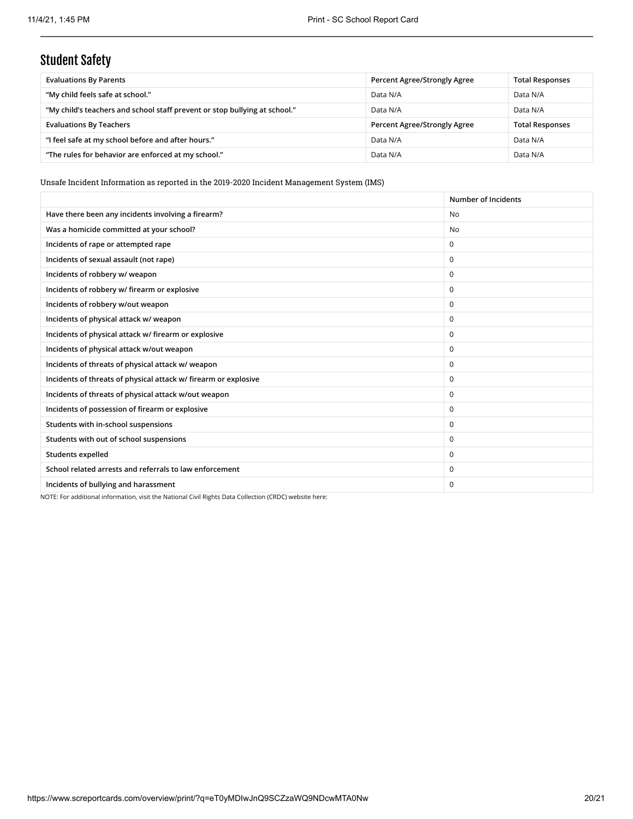# Student Safety

| <b>Evaluations By Parents</b>                                              | Percent Agree/Strongly Agree | <b>Total Responses</b> |
|----------------------------------------------------------------------------|------------------------------|------------------------|
| "My child feels safe at school."                                           | Data N/A                     | Data N/A               |
| "My child's teachers and school staff prevent or stop bullying at school." | Data N/A                     | Data N/A               |
| <b>Evaluations By Teachers</b>                                             | Percent Agree/Strongly Agree | <b>Total Responses</b> |
| "I feel safe at my school before and after hours."                         | Data N/A                     | Data N/A               |
| "The rules for behavior are enforced at my school."                        | Data N/A                     | Data N/A               |

Unsafe Incident Information as reported in the 2019-2020 Incident Management System (IMS)

|                                                                 | Number of Incidents |
|-----------------------------------------------------------------|---------------------|
| Have there been any incidents involving a firearm?              | <b>No</b>           |
| Was a homicide committed at your school?                        | N <sub>0</sub>      |
| Incidents of rape or attempted rape                             | $\mathbf 0$         |
| Incidents of sexual assault (not rape)                          | $\Omega$            |
| Incidents of robbery w/ weapon                                  | $\mathbf 0$         |
| Incidents of robbery w/ firearm or explosive                    | $\Omega$            |
| Incidents of robbery w/out weapon                               | $\Omega$            |
| Incidents of physical attack w/weapon                           | $\Omega$            |
| Incidents of physical attack w/ firearm or explosive            | $\Omega$            |
| Incidents of physical attack w/out weapon                       | $\Omega$            |
| Incidents of threats of physical attack w/ weapon               | $\Omega$            |
| Incidents of threats of physical attack w/ firearm or explosive | $\Omega$            |
| Incidents of threats of physical attack w/out weapon            | $\Omega$            |
| Incidents of possession of firearm or explosive                 | $\mathbf 0$         |
| Students with in-school suspensions                             | $\mathbf 0$         |
| Students with out of school suspensions                         | $\mathbf 0$         |
| Students expelled                                               | $\Omega$            |
| School related arrests and referrals to law enforcement         | $\Omega$            |
| Incidents of bullying and harassment                            | $\Omega$            |

NOTE: For additional information, visit the National Civil Rights Data Collection (CRDC) website here: